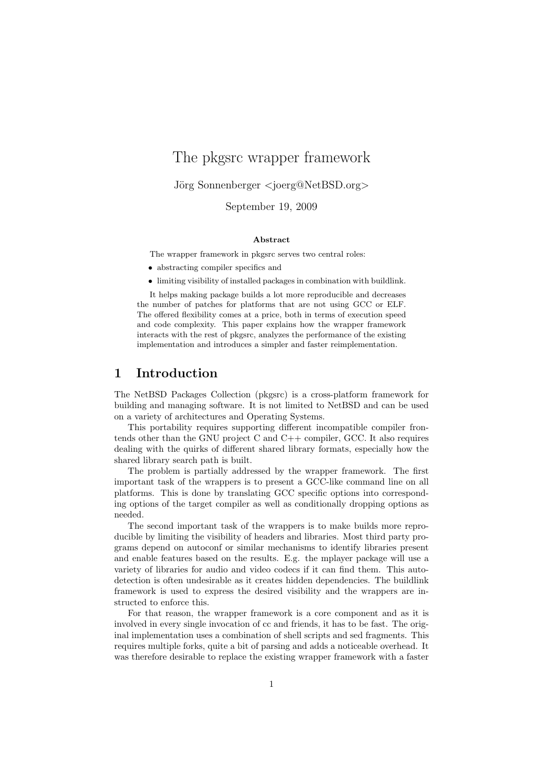# The pkgsrc wrapper framework

Jörg Sonnenberger <joerg@NetBSD.org>

September 19, 2009

#### Abstract

The wrapper framework in pkgsrc serves two central roles:

- abstracting compiler specifics and
- $\bullet~$  limiting visibility of installed packages in combination with buildlink.

It helps making package builds a lot more reproducible and decreases the number of patches for platforms that are not using GCC or ELF. The offered flexibility comes at a price, both in terms of execution speed and code complexity. This paper explains how the wrapper framework interacts with the rest of pkgsrc, analyzes the performance of the existing implementation and introduces a simpler and faster reimplementation.

### 1 Introduction

The NetBSD Packages Collection (pkgsrc) is a cross-platform framework for building and managing software. It is not limited to NetBSD and can be used on a variety of architectures and Operating Systems.

This portability requires supporting different incompatible compiler frontends other than the GNU project C and  $C_{++}$  compiler, GCC. It also requires dealing with the quirks of different shared library formats, especially how the shared library search path is built.

The problem is partially addressed by the wrapper framework. The first important task of the wrappers is to present a GCC-like command line on all platforms. This is done by translating GCC specific options into corresponding options of the target compiler as well as conditionally dropping options as needed.

The second important task of the wrappers is to make builds more reproducible by limiting the visibility of headers and libraries. Most third party programs depend on autoconf or similar mechanisms to identify libraries present and enable features based on the results. E.g. the mplayer package will use a variety of libraries for audio and video codecs if it can find them. This autodetection is often undesirable as it creates hidden dependencies. The buildlink framework is used to express the desired visibility and the wrappers are instructed to enforce this.

For that reason, the wrapper framework is a core component and as it is involved in every single invocation of cc and friends, it has to be fast. The original implementation uses a combination of shell scripts and sed fragments. This requires multiple forks, quite a bit of parsing and adds a noticeable overhead. It was therefore desirable to replace the existing wrapper framework with a faster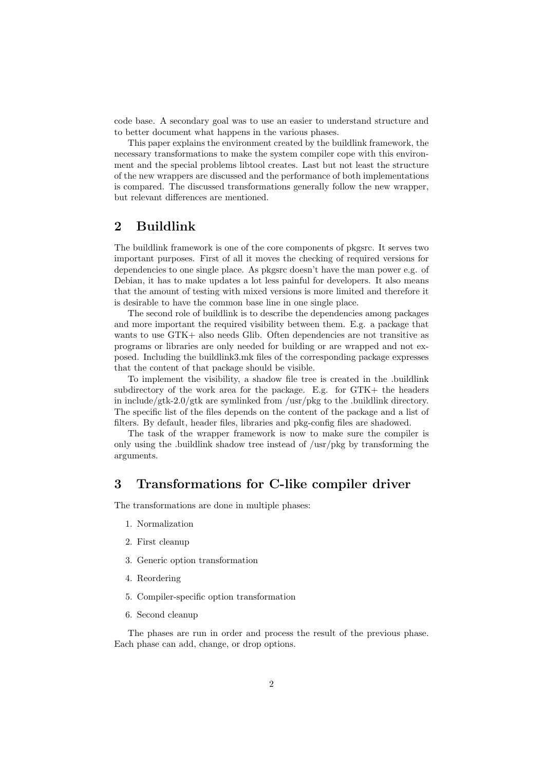code base. A secondary goal was to use an easier to understand structure and to better document what happens in the various phases.

This paper explains the environment created by the buildlink framework, the necessary transformations to make the system compiler cope with this environment and the special problems libtool creates. Last but not least the structure of the new wrappers are discussed and the performance of both implementations is compared. The discussed transformations generally follow the new wrapper, but relevant differences are mentioned.

# 2 Buildlink

The buildlink framework is one of the core components of pkgsrc. It serves two important purposes. First of all it moves the checking of required versions for dependencies to one single place. As pkgsrc doesn't have the man power e.g. of Debian, it has to make updates a lot less painful for developers. It also means that the amount of testing with mixed versions is more limited and therefore it is desirable to have the common base line in one single place.

The second role of buildlink is to describe the dependencies among packages and more important the required visibility between them. E.g. a package that wants to use GTK+ also needs Glib. Often dependencies are not transitive as programs or libraries are only needed for building or are wrapped and not exposed. Including the buildlink3.mk files of the corresponding package expresses that the content of that package should be visible.

To implement the visibility, a shadow file tree is created in the .buildlink subdirectory of the work area for the package. E.g. for GTK+ the headers in include/gtk-2.0/gtk are symlinked from /usr/pkg to the .buildlink directory. The specific list of the files depends on the content of the package and a list of filters. By default, header files, libraries and pkg-config files are shadowed.

The task of the wrapper framework is now to make sure the compiler is only using the .buildlink shadow tree instead of /usr/pkg by transforming the arguments.

### 3 Transformations for C-like compiler driver

The transformations are done in multiple phases:

- 1. Normalization
- 2. First cleanup
- 3. Generic option transformation
- 4. Reordering
- 5. Compiler-specific option transformation
- 6. Second cleanup

The phases are run in order and process the result of the previous phase. Each phase can add, change, or drop options.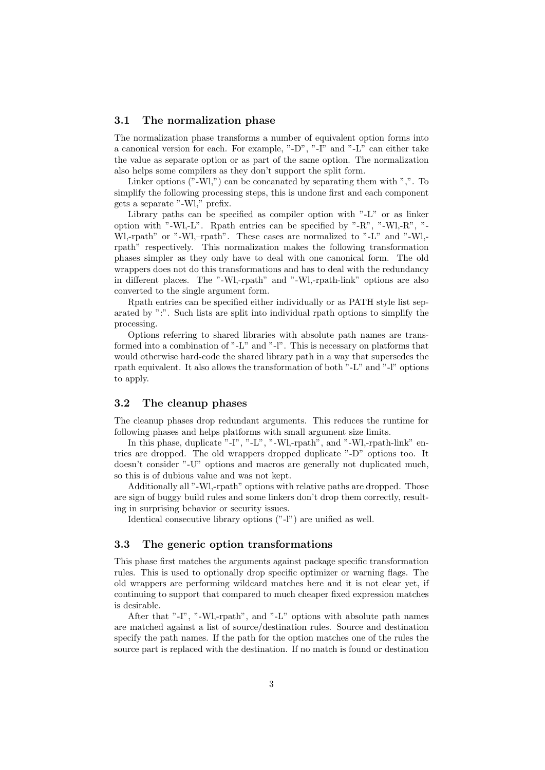#### 3.1 The normalization phase

The normalization phase transforms a number of equivalent option forms into a canonical version for each. For example, "-D", "-I" and "-L" can either take the value as separate option or as part of the same option. The normalization also helps some compilers as they don't support the split form.

Linker options  $("-WI,")$  can be concanated by separating them with ",". To simplify the following processing steps, this is undone first and each component gets a separate "-Wl," prefix.

Library paths can be specified as compiler option with "-L" or as linker option with "-Wl,-L". Rpath entries can be specified by "-R", "-Wl,-R", "- Wl,-rpath" or "-Wl,-rpath". These cases are normalized to "-L" and "-Wl,rpath" respectively. This normalization makes the following transformation phases simpler as they only have to deal with one canonical form. The old wrappers does not do this transformations and has to deal with the redundancy in different places. The "-Wl,-rpath" and "-Wl,-rpath-link" options are also converted to the single argument form.

Rpath entries can be specified either individually or as PATH style list separated by ":". Such lists are split into individual rpath options to simplify the processing.

Options referring to shared libraries with absolute path names are transformed into a combination of "-L" and "-l". This is necessary on platforms that would otherwise hard-code the shared library path in a way that supersedes the rpath equivalent. It also allows the transformation of both "-L" and "-l" options to apply.

#### 3.2 The cleanup phases

The cleanup phases drop redundant arguments. This reduces the runtime for following phases and helps platforms with small argument size limits.

In this phase, duplicate "-I", "-L", "-Wl,-rpath", and "-Wl,-rpath-link" entries are dropped. The old wrappers dropped duplicate "-D" options too. It doesn't consider "-U" options and macros are generally not duplicated much, so this is of dubious value and was not kept.

Additionally all "-Wl,-rpath" options with relative paths are dropped. Those are sign of buggy build rules and some linkers don't drop them correctly, resulting in surprising behavior or security issues.

Identical consecutive library options ("-l") are unified as well.

#### 3.3 The generic option transformations

This phase first matches the arguments against package specific transformation rules. This is used to optionally drop specific optimizer or warning flags. The old wrappers are performing wildcard matches here and it is not clear yet, if continuing to support that compared to much cheaper fixed expression matches is desirable.

After that "-I", "-Wl,-rpath", and "-L" options with absolute path names are matched against a list of source/destination rules. Source and destination specify the path names. If the path for the option matches one of the rules the source part is replaced with the destination. If no match is found or destination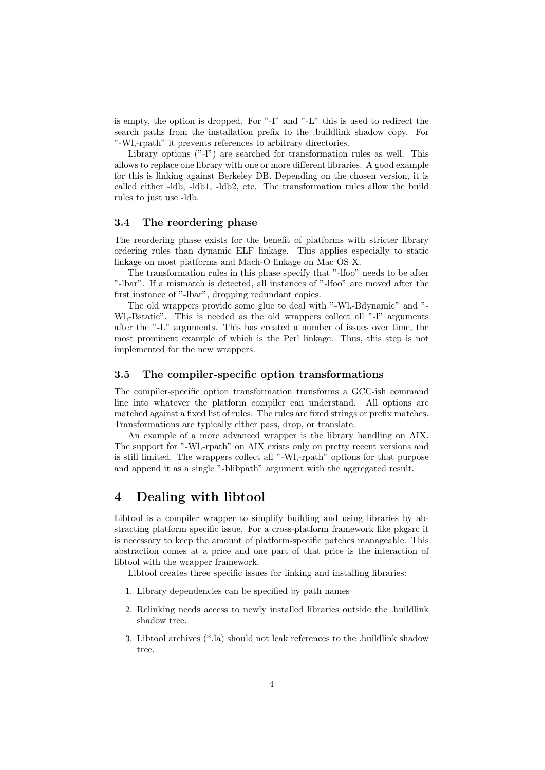is empty, the option is dropped. For "-I" and "-L" this is used to redirect the search paths from the installation prefix to the .buildlink shadow copy. For "-Wl,-rpath" it prevents references to arbitrary directories.

Library options ("-l") are searched for transformation rules as well. This allows to replace one library with one or more different libraries. A good example for this is linking against Berkeley DB. Depending on the chosen version, it is called either -ldb, -ldb1, -ldb2, etc. The transformation rules allow the build rules to just use -ldb.

#### 3.4 The reordering phase

The reordering phase exists for the benefit of platforms with stricter library ordering rules than dynamic ELF linkage. This applies especially to static linkage on most platforms and Mach-O linkage on Mac OS X.

The transformation rules in this phase specify that "-lfoo" needs to be after "-lbar". If a mismatch is detected, all instances of "-lfoo" are moved after the first instance of "-lbar", dropping redundant copies.

The old wrappers provide some glue to deal with "-Wl,-Bdynamic" and "- Wl,-Bstatic". This is needed as the old wrappers collect all "-l" arguments after the "-L" arguments. This has created a number of issues over time, the most prominent example of which is the Perl linkage. Thus, this step is not implemented for the new wrappers.

#### 3.5 The compiler-specific option transformations

The compiler-specific option transformation transforms a GCC-ish command line into whatever the platform compiler can understand. All options are matched against a fixed list of rules. The rules are fixed strings or prefix matches. Transformations are typically either pass, drop, or translate.

An example of a more advanced wrapper is the library handling on AIX. The support for "-Wl,-rpath" on AIX exists only on pretty recent versions and is still limited. The wrappers collect all "-Wl,-rpath" options for that purpose and append it as a single "-blibpath" argument with the aggregated result.

### 4 Dealing with libtool

Libtool is a compiler wrapper to simplify building and using libraries by abstracting platform specific issue. For a cross-platform framework like pkgsrc it is necessary to keep the amount of platform-specific patches manageable. This abstraction comes at a price and one part of that price is the interaction of libtool with the wrapper framework.

Libtool creates three specific issues for linking and installing libraries:

- 1. Library dependencies can be specified by path names
- 2. Relinking needs access to newly installed libraries outside the .buildlink shadow tree.
- 3. Libtool archives (\*.la) should not leak references to the .buildlink shadow tree.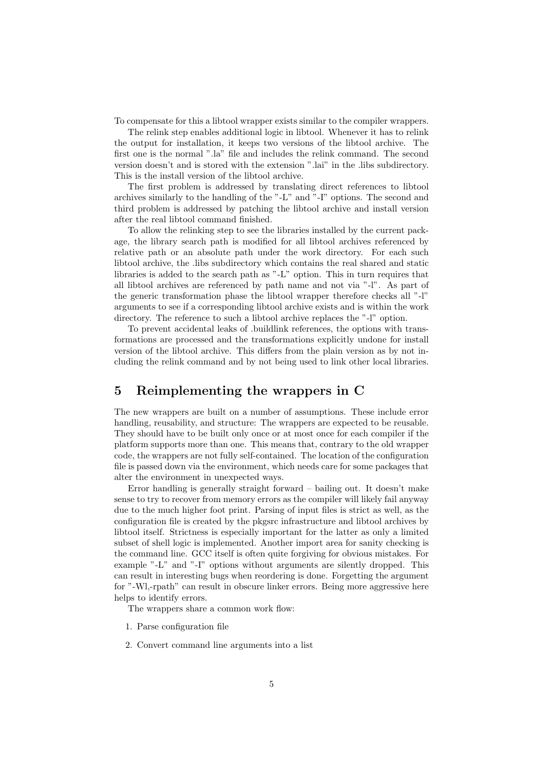To compensate for this a libtool wrapper exists similar to the compiler wrappers.

The relink step enables additional logic in libtool. Whenever it has to relink the output for installation, it keeps two versions of the libtool archive. The first one is the normal ".la" file and includes the relink command. The second version doesn't and is stored with the extension ".lai" in the .libs subdirectory. This is the install version of the libtool archive.

The first problem is addressed by translating direct references to libtool archives similarly to the handling of the "-L" and "-I" options. The second and third problem is addressed by patching the libtool archive and install version after the real libtool command finished.

To allow the relinking step to see the libraries installed by the current package, the library search path is modified for all libtool archives referenced by relative path or an absolute path under the work directory. For each such libtool archive, the .libs subdirectory which contains the real shared and static libraries is added to the search path as "-L" option. This in turn requires that all libtool archives are referenced by path name and not via "-l". As part of the generic transformation phase the libtool wrapper therefore checks all "-l" arguments to see if a corresponding libtool archive exists and is within the work directory. The reference to such a libtool archive replaces the "-l" option.

To prevent accidental leaks of .buildlink references, the options with transformations are processed and the transformations explicitly undone for install version of the libtool archive. This differs from the plain version as by not including the relink command and by not being used to link other local libraries.

# 5 Reimplementing the wrappers in C

The new wrappers are built on a number of assumptions. These include error handling, reusability, and structure: The wrappers are expected to be reusable. They should have to be built only once or at most once for each compiler if the platform supports more than one. This means that, contrary to the old wrapper code, the wrappers are not fully self-contained. The location of the configuration file is passed down via the environment, which needs care for some packages that alter the environment in unexpected ways.

Error handling is generally straight forward – bailing out. It doesn't make sense to try to recover from memory errors as the compiler will likely fail anyway due to the much higher foot print. Parsing of input files is strict as well, as the configuration file is created by the pkgsrc infrastructure and libtool archives by libtool itself. Strictness is especially important for the latter as only a limited subset of shell logic is implemented. Another import area for sanity checking is the command line. GCC itself is often quite forgiving for obvious mistakes. For example "-L" and "-I" options without arguments are silently dropped. This can result in interesting bugs when reordering is done. Forgetting the argument for "-Wl,-rpath" can result in obscure linker errors. Being more aggressive here helps to identify errors.

The wrappers share a common work flow:

- 1. Parse configuration file
- 2. Convert command line arguments into a list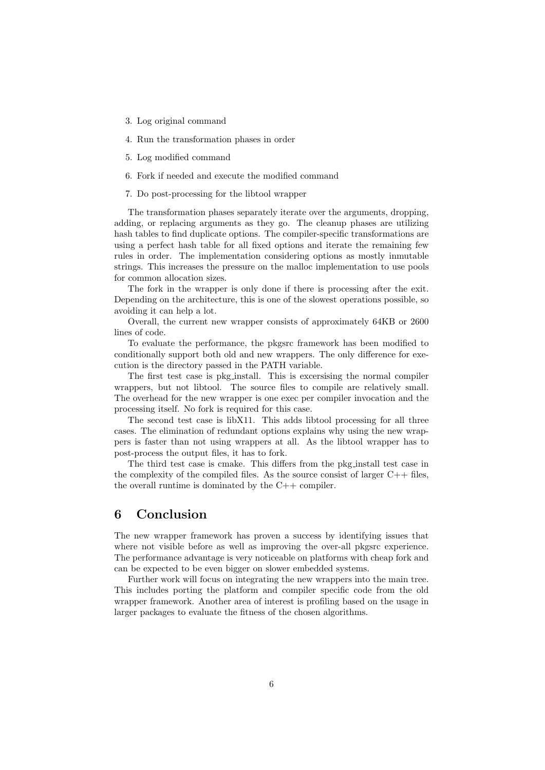- 3. Log original command
- 4. Run the transformation phases in order
- 5. Log modified command
- 6. Fork if needed and execute the modified command
- 7. Do post-processing for the libtool wrapper

The transformation phases separately iterate over the arguments, dropping, adding, or replacing arguments as they go. The cleanup phases are utilizing hash tables to find duplicate options. The compiler-specific transformations are using a perfect hash table for all fixed options and iterate the remaining few rules in order. The implementation considering options as mostly inmutable strings. This increases the pressure on the malloc implementation to use pools for common allocation sizes.

The fork in the wrapper is only done if there is processing after the exit. Depending on the architecture, this is one of the slowest operations possible, so avoiding it can help a lot.

Overall, the current new wrapper consists of approximately 64KB or 2600 lines of code.

To evaluate the performance, the pkgsrc framework has been modified to conditionally support both old and new wrappers. The only difference for execution is the directory passed in the PATH variable.

The first test case is pkg install. This is excersising the normal compiler wrappers, but not libtool. The source files to compile are relatively small. The overhead for the new wrapper is one exec per compiler invocation and the processing itself. No fork is required for this case.

The second test case is libX11. This adds libtool processing for all three cases. The elimination of redundant options explains why using the new wrappers is faster than not using wrappers at all. As the libtool wrapper has to post-process the output files, it has to fork.

The third test case is cmake. This differs from the pkg install test case in the complexity of the compiled files. As the source consist of larger  $C++$  files, the overall runtime is dominated by the  $C++$  compiler.

# 6 Conclusion

The new wrapper framework has proven a success by identifying issues that where not visible before as well as improving the over-all pkgsrc experience. The performance advantage is very noticeable on platforms with cheap fork and can be expected to be even bigger on slower embedded systems.

Further work will focus on integrating the new wrappers into the main tree. This includes porting the platform and compiler specific code from the old wrapper framework. Another area of interest is profiling based on the usage in larger packages to evaluate the fitness of the chosen algorithms.